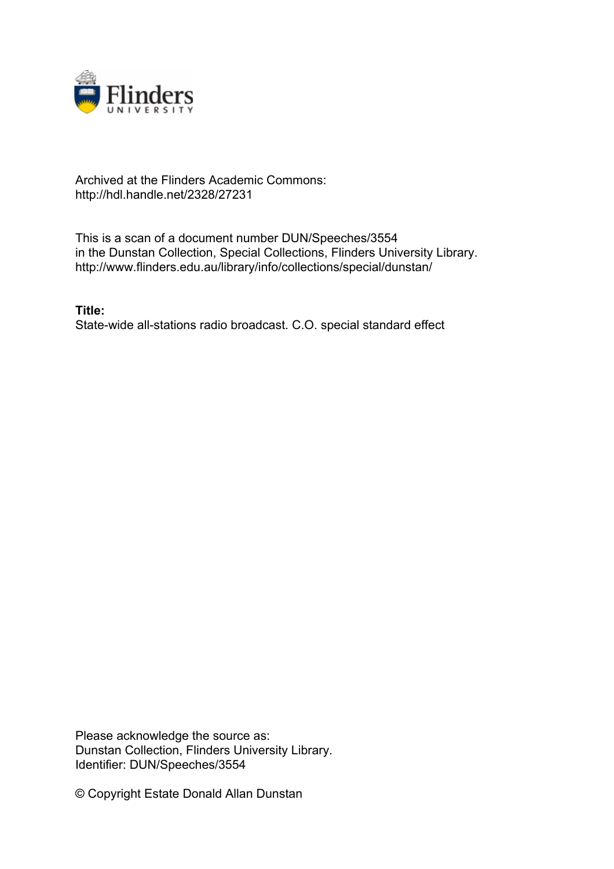

## Archived at the Flinders Academic Commons: http://hdl.handle.net/2328/27231

This is a scan of a document number DUN/Speeches/3554 in the Dunstan Collection, Special Collections, Flinders University Library. http://www.flinders.edu.au/library/info/collections/special/dunstan/

**Title:** State-wide all-stations radio broadcast. C.O. special standard effect

Please acknowledge the source as: Dunstan Collection, Flinders University Library. Identifier: DUN/Speeches/3554

© Copyright Estate Donald Allan Dunstan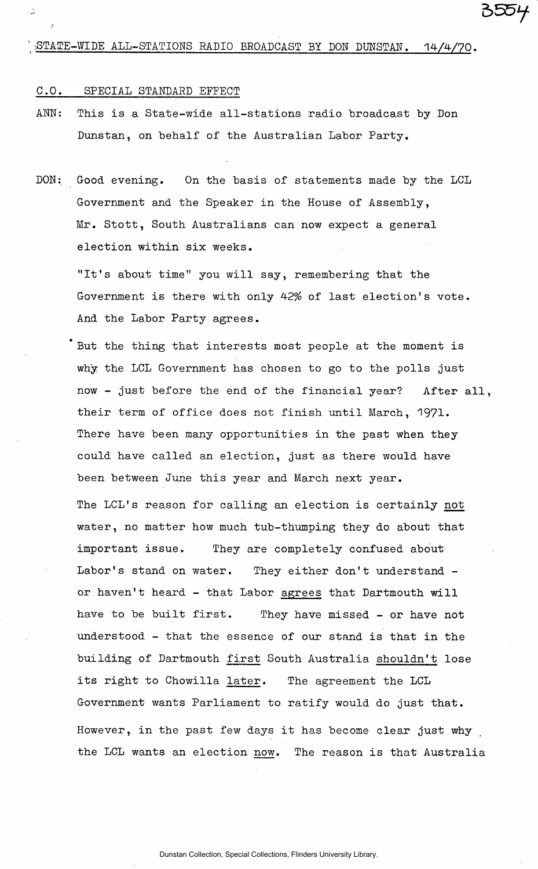### C.O. SPECIAL STANDARD EFFECT

- ANN: This is a State-wide all-stations radio broadcast by Don Dunstan, on behalf of the Australian Labor Party.
- DON: Good evening. On the basis of statements made by the LCL Government and the Speaker in the House of Assembly, Mr. Stott, South Australians can now expect a general election within six weeks.

"It's about time" you will say, remembering that the Government is there with only 42% of last election's vote. And the Labor Party agrees.

But the thing that interests most people at the moment is why the LCL Government has chosen to go to the polls just now - just before the end of the financial year? After all, their term of office does not finish until March, 1971. There have been many opportunities in the past when they could have called an election, just as there would have been between June this year and March next year.

The LCL's reason for calling an election is certainly not water, no matter how much tub-thumping they do about that important issue. They are completely confused about Labor's stand on water. They either don't understand or haven't heard - that Labor agrees that Dartmouth will have to be built first. They have missed - or have not understood - that the essence of our stand is that in the building of Dartmouth first South Australia shouldn't lose its right to Chowilla later. The agreement the LCL Government wants Parliament to ratify would do just that. However, in the past few days it has become clear just why the LCL wants an election now. The reason is that Australia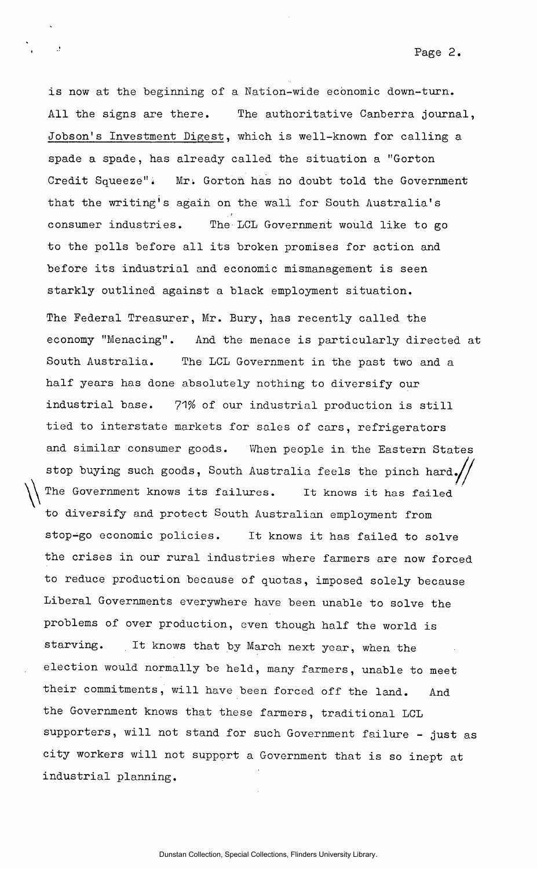is now at the beginning of a Nation-wide economic down-turn. All the signs are there. The authoritative Canberra journal, Jobson's Investment Digest, which is well-known for calling a spade a spade, has already called the situation a "Gorton Credit Squeeze". Mr. Gorton has no doubt told the Government that the writing's again on the wall for South Australia's consumer industries. The LCL Government would like to go to the polls before all its broken promises for action and before its industrial and economic mismanagement is seen starkly outlined against a black employment situation. The Federal Treasurer, Mr. Bury, has recently called the economy "Menacing". And the menace is particularly directed at South Australia. The LCL Government in the past two and a half years has done absolutely nothing to diversify our industrial base. 71% of our industrial production is still tied to interstate markets for sales of cars, refrigerators and similar consumer goods. When people in the Eastern States stop buying such goods, South Australia feels the pinch hard. The Government knows its failures. It knows it has failed to diversify and protect South Australian employment from stop-go economic policies. It knows it has failed to solve the crises in our rural industries where farmers are now forced to reduce production because of quotas, imposed solely because Liberal Governments everywhere have been unable to solve the problems of over production, even though half the world is starving. It knows that by March next year, when the election would normally be held, many farmers, unable to meet their commitments, will have been forced off the land. And the Government knows that these farmers, traditional LCL supporters, will not stand for such Government failure - just as city workers will not support a Government that is so inept at industrial planning.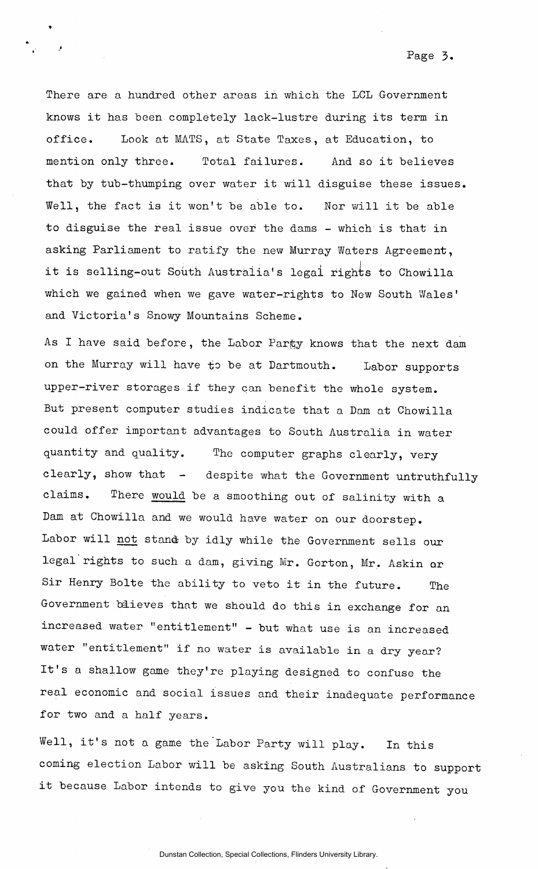There are a hundred other areas in which the LCL Government knows it has been completely lack-lustre during its term in office. Look at MATS, at State Taxes, at Education, to mention only three. Total failures. And so it believes that by tub-thumping over water it will disguise these issues. Well, the fact is it won't be able to. Nor will it be able to disguise the real issue over the dams - which is that in asking Parliament to ratify the new Murray Waters Agreement, it is selling-out South Australia's legal rights to Chowilla which we gained when we gave water-rights to New South Wales' and Victoria's Snowy Mountains Scheme.

As I have said before, the Labor Party knows that the next dam on the Murray will have to be at Dartmouth. Labor supports upper-river storages if they can benefit the whole system. But present computer studies indicate that a Dam at Chowilla could offer important advantages to South Australia in water quantity and quality. The computer graphs clearly, very clearly, show that - despite what the Government untruthfully claims. There would be a smoothing out of salinity with a Dam at Chowilla and we would have water on our doorstep. Labor will not stand by idly while the Government sells our legal rights to such a dam, giving Mr. Gorton, Mr. Askin or Sir Henry Bolte the ability to veto it in the future. The Government believes that we should do this in exchange for an increased water "entitlement" - but what use is an increased water "entitlement" if no water is available in a dry year? It's a shallow game they're playing designed to confuse the real economic and social issues and their inadequate performance for two and a half years.

Well, it's not a game the Labor Party will play. In this coming election Labor will be asking South Australians to support it because Labor intends to give you the kind of Government you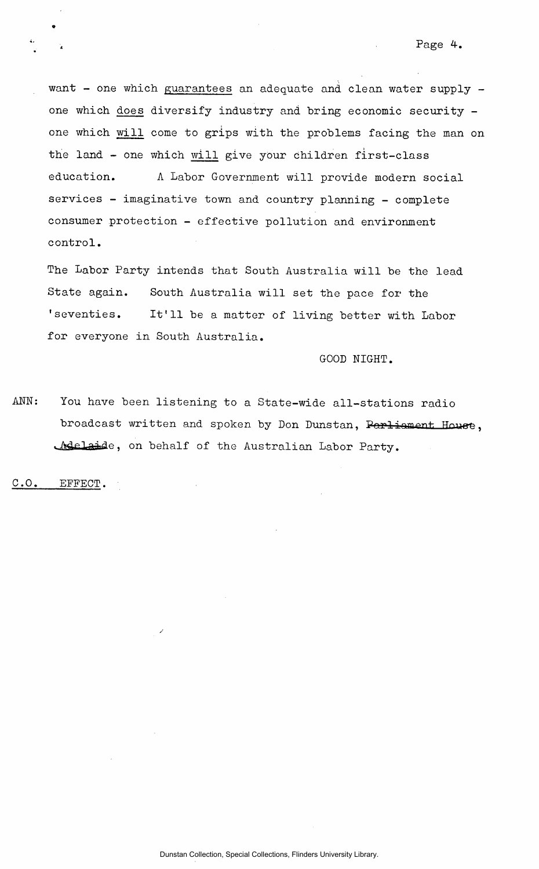want - one which guarantees an adequate and clean water supply one which does diversify industry and bring economic security one which will come to grips with the problems facing the man on the land - one which will give your children first-class education. A Labor Government will provide modern social services - imaginative town and country planning - complete consumer protection - effective pollution and environment control.

The Labor Party intends that South Australia will be the lead State again. South Australia will set the pace for the 'seventies. It'll be a matter of living better with Labor for everyone in South Australia.

GOOD NIGHT.

ANN: You have been listening to a State-wide all-stations radio broadcast written and spoken by Don Dunstan, Parliament House, Melaide, on behalf of the Australian Labor Party.

C.O. EFFECT.

»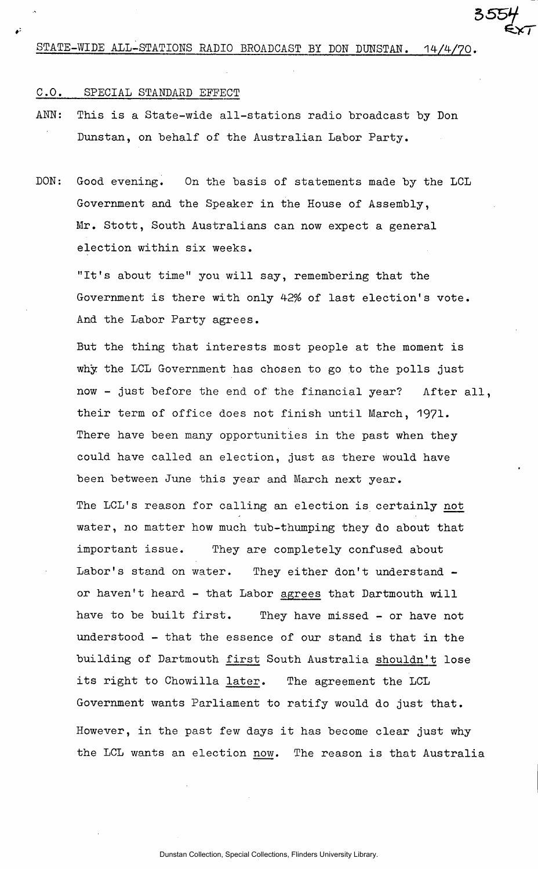# STATE-WIDE ALL-STATIONS RADIO BROADCAST BY DON DUNSTAN. 14/4/70.

*5S5H-*

#### C.O. SPECIAL STANDARD EFFECT

ANN: This is a State-wide all-stations radio broadcast by Don Dunstan, on behalf of the Australian Labor Party.

Dunstan, on behalf of the Australian Labor Party.

DON: Good evening. On the basis of statements made by the LCL Government and the Speaker in the House of Assembly, Mr. Stott, South Australians can now expect a general election within six weeks.

"It's about time" you will say, remembering that the Government is there with only 42% of last election's vote. And the Labor Party agrees.

But the thing that interests most people at the moment is why the LCL Government has chosen to go to the polls just now - just before the end of the financial year? After all, their term of office does not finish until March, 1971. There have been many opportunities in the past when they could have called an election, just as there would have been between June this year and March next year.

The LCL's reason for calling an election is certainly not water, no matter how much tub-thumping they do about that important issue. They are completely confused about Labor's stand on water. They either don't understand or haven't heard - that Labor agrees that Dartmouth will have to be built first. They have missed - or have not understood - that the essence of our stand is that in the building of Dartmouth first South Australia shouldn't lose its right to Chowilla later. The agreement the LCL Government wants Parliament to ratify would do just that. However, in the past few days it has become clear just why the LCL wants an election now. The reason is that Australia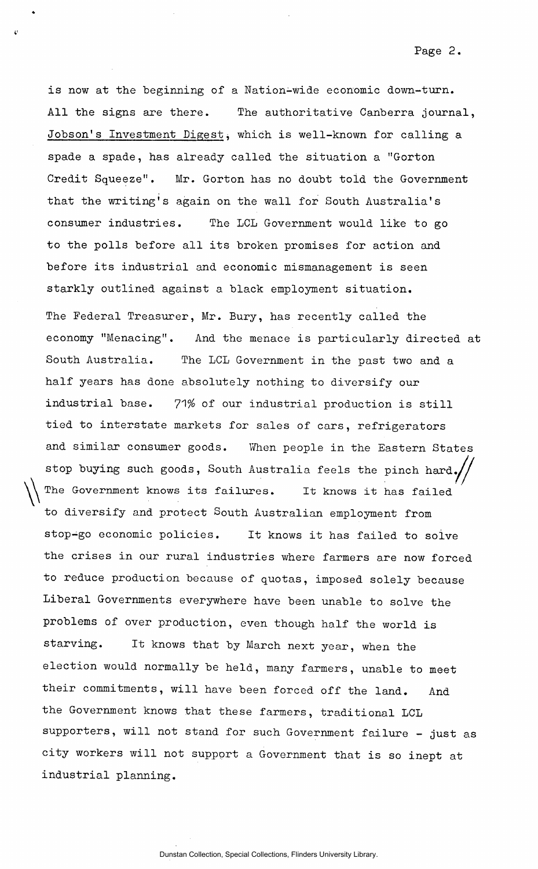is now at the beginning of a Nation-wide economic down-turn. All the signs are there. The authoritative Canberra journal, Jobson's Investment Digest, which is well-known for calling a spade a spade, has already called the situation a "Gorton Credit Squeeze". Mr. Gorton has no doubt toid the Government that the writing's again on the wall for South Australia's consumer industries. The LCL Government would like to go to the polls before all its broken promises for action and before its industrial and economic mismanagement is seen starkly outlined against a black employment situation. The Federal Treasurer, Mr. Bury, has recently called the economy "Menacing". And the menace is particularly directed at South Australia. The LCL Government in the past two and a half years has done absolutely nothing to diversify our industrial base. 71% of our industrial production is still tied to interstate markets for sales of cars, refrigerators and similar consumer goods. When people in the Eastern States stop buying such goods, South Australia feels the pinch hard. The Government knows its failures. It knows it has failed to diversify and protect South Australian employment from stop-go economic policies. It knows it has failed to solve the crises in our rural industries where farmers are now forced to reduce production because of quotas, imposed solely because Liberal Governments everywhere have been unable to solve the problems of over production, even though half the world is starving. It knows that by March next year, when the election would normally be held, many farmers, unable to meet their commitments, will have been forced off the land. And the Government knows that these farmers, traditional LCL supporters, will not stand for such Government failure - just as city workers will not support a Government that is so inept at industrial planning.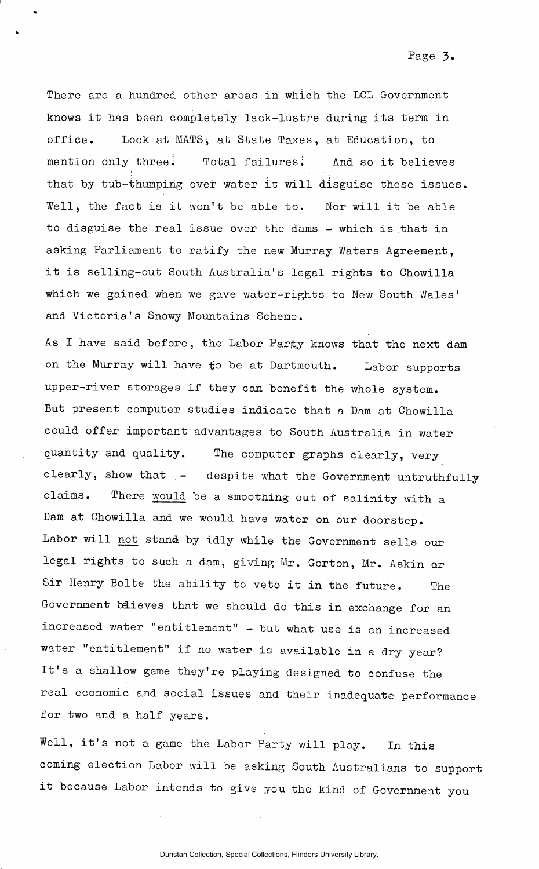There are a hundred other areas in which the LCL Government knows it has been completely lack-lustre during its term in office. Look at MATS, at State Taxes, at Education, to mention only three. Total failures. And so it believes that by tub-thumping over water it wili disguise these issues. Well, the fact is it won't be able to. Nor will it be able to disguise the real issue over the dams - which is that in asking Parliament to ratify the new Murray Waters Agreement, it is selling-out South Australia's legal rights to Chowilla which we gained when we gave water—rights to New South Wales' and Victoria's Snowy Mountains Scheme.

As I have said before, the Labor Party knows that the next dam on the Murray will have to be at Dartmouth. Labor supports upper-river storages if they can benefit the whole system. But present computer studies indicate that a Dam at Chowilla could offer important advantages to South Australia in water quantity and quality. The computer graphs clearly, very clearly, show that - despite what the Government untruthfully claims. There would be a smoothing out of salinity with a Dam at Chowilla and we would have water on our doorstep. Labor will not stand by idly while the Government sells our legal rights to such a dam, giving Mr. Gorton, Mr. Askin or Sir Henry Bolte the ability to veto it in the future. The Government believes that we should do this in exchange for an increased water "entitlement" - but what use is an increased water "entitlement" if no water is available in a dry year? It's a shallow game they're playing designed to confuse the real economic and social issues and their inadequate performance for two and a half years.

Well, it's not a game the Labor Party will play. In this coming election Labor will be asking South Australians to support it because Labor intends to give you the kind of Government you